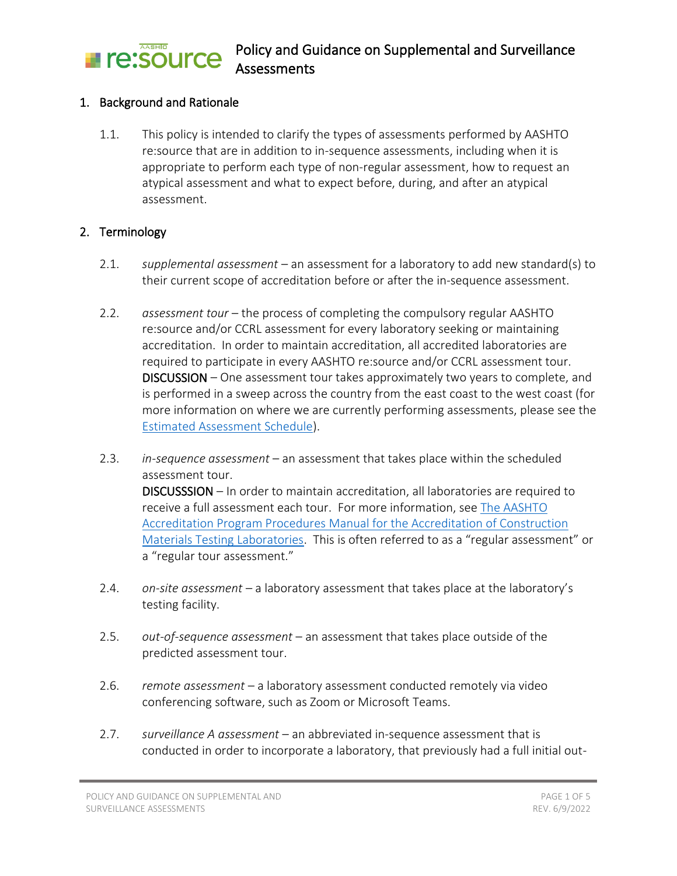#### Policy and Guidance on Supplemental and Surveillance **Freisource Assessments**

#### 1. Background and Rationale

1.1. This policy is intended to clarify the types of assessments performed by AASHTO re:source that are in addition to in-sequence assessments, including when it is appropriate to perform each type of non-regular assessment, how to request an atypical assessment and what to expect before, during, and after an atypical assessment.

#### 2. Terminology

- 2.1. *supplemental assessment* an assessment for a laboratory to add new standard(s) to their current scope of accreditation before or after the in-sequence assessment.
- 2.2. *assessment tour* the process of completing the compulsory regular AASHTO re:source and/or CCRL assessment for every laboratory seeking or maintaining accreditation. In order to maintain accreditation, all accredited laboratories are required to participate in every AASHTO re:source and/or CCRL assessment tour. DISCUSSION – One assessment tour takes approximately two years to complete, and is performed in a sweep across the country from the east coast to the west coast (for more information on where we are currently performing assessments, please see the [Estimated Assessment Schedule\)](http://www.aashtoresource.org/lap/schedule).
- 2.3. *in-sequence assessment* an assessment that takes place within the scheduled assessment tour. DISCUSSSION – In order to maintain accreditation, all laboratories are required to receive a full assessment each tour. For more information, see [The AASHTO](http://www.aashtoresource.org/docs/default-source/publicdocuments/aap-procedures-manual.pdf?sfvrsn=19)  [Accreditation Program Procedures Manual for the Accreditation of Construction](http://www.aashtoresource.org/docs/default-source/publicdocuments/aap-procedures-manual.pdf?sfvrsn=19)  [Materials Testing Laboratories.](http://www.aashtoresource.org/docs/default-source/publicdocuments/aap-procedures-manual.pdf?sfvrsn=19) This is often referred to as a "regular assessment" or a "regular tour assessment."
- 2.4. *on-site assessment* a laboratory assessment that takes place at the laboratory's testing facility.
- 2.5. *out-of-sequence assessment* an assessment that takes place outside of the predicted assessment tour.
- 2.6. *remote assessment* a laboratory assessment conducted remotely via video conferencing software, such as Zoom or Microsoft Teams.
- 2.7. *surveillance A assessment* an abbreviated in-sequence assessment that is conducted in order to incorporate a laboratory, that previously had a full initial out-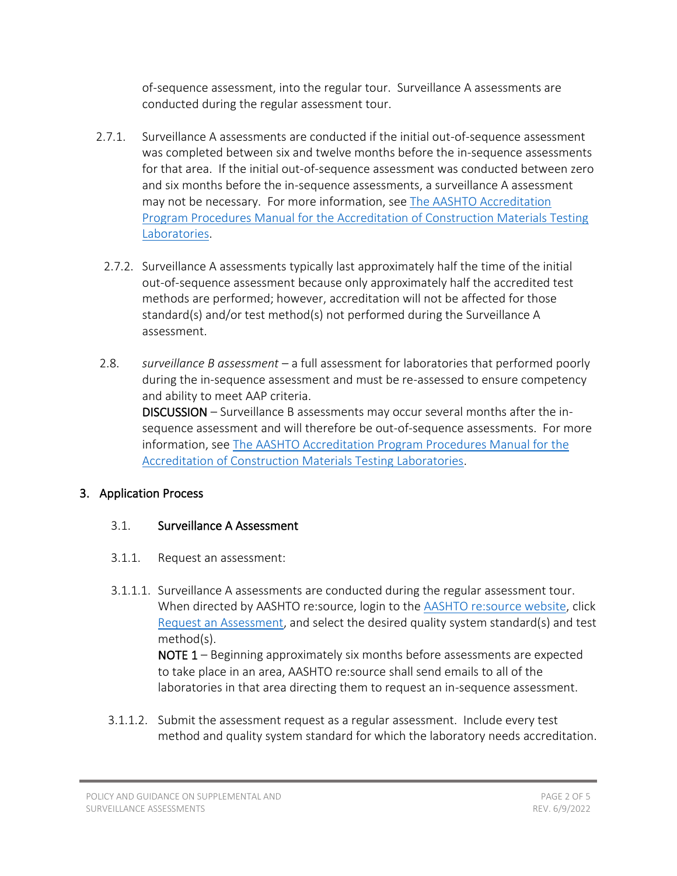of-sequence assessment, into the regular tour. Surveillance A assessments are conducted during the regular assessment tour.

- 2.7.1. Surveillance A assessments are conducted if the initial out-of-sequence assessment was completed between six and twelve months before the in-sequence assessments for that area. If the initial out-of-sequence assessment was conducted between zero and six months before the in-sequence assessments, a surveillance A assessment may not be necessary. For more information, see [The AASHTO Accreditation](http://www.aashtoresource.org/docs/default-source/publicdocuments/aap-procedures-manual.pdf?sfvrsn=19)  [Program Procedures Manual for the Accreditation of Construction Materials Testing](http://www.aashtoresource.org/docs/default-source/publicdocuments/aap-procedures-manual.pdf?sfvrsn=19)  [Laboratories.](http://www.aashtoresource.org/docs/default-source/publicdocuments/aap-procedures-manual.pdf?sfvrsn=19)
	- 2.7.2. Surveillance A assessments typically last approximately half the time of the initial out-of-sequence assessment because only approximately half the accredited test methods are performed; however, accreditation will not be affected for those standard(s) and/or test method(s) not performed during the Surveillance A assessment.
- 2.8. *surveillance B assessment* a full assessment for laboratories that performed poorly during the in-sequence assessment and must be re-assessed to ensure competency and ability to meet AAP criteria. DISCUSSION – Surveillance B assessments may occur several months after the insequence assessment and will therefore be out-of-sequence assessments. For more information, se[e The AASHTO Accreditation Program Procedures Manual for the](http://www.aashtoresource.org/docs/default-source/publicdocuments/aap-procedures-manual.pdf?sfvrsn=19)

[Accreditation of Construction Materials Testing Laboratories.](http://www.aashtoresource.org/docs/default-source/publicdocuments/aap-procedures-manual.pdf?sfvrsn=19)

# 3. Application Process

### 3.1. Surveillance A Assessment

- 3.1.1. Request an assessment:
- 3.1.1.1. Surveillance A assessments are conducted during the regular assessment tour. When directed by AASHTO re:source, login to the [AASHTO re:source website,](http://www.aashtoresource.org/) click [Request an Assessment,](http://www.aashtoresource.org/lap/assessment) and select the desired quality system standard(s) and test method(s).

NOTE 1 – Beginning approximately six months before assessments are expected to take place in an area, AASHTO re:source shall send emails to all of the laboratories in that area directing them to request an in-sequence assessment.

3.1.1.2. Submit the assessment request as a regular assessment. Include every test method and quality system standard for which the laboratory needs accreditation.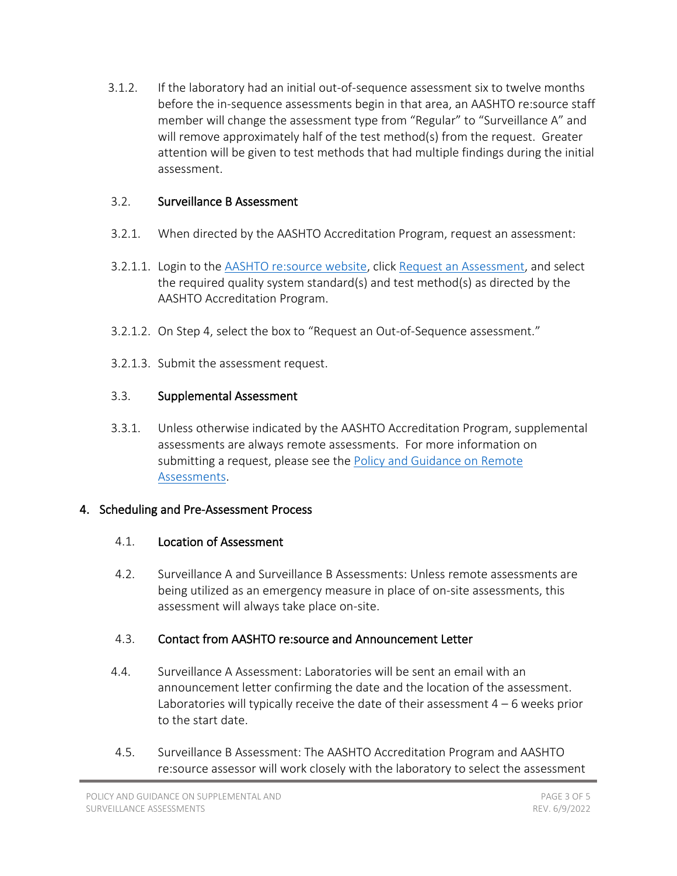3.1.2. If the laboratory had an initial out-of-sequence assessment six to twelve months before the in-sequence assessments begin in that area, an AASHTO re:source staff member will change the assessment type from "Regular" to "Surveillance A" and will remove approximately half of the test method(s) from the request. Greater attention will be given to test methods that had multiple findings during the initial assessment.

## 3.2. Surveillance B Assessment

- 3.2.1. When directed by the AASHTO Accreditation Program, request an assessment:
- 3.2.1.1. Login to the [AASHTO re:source website,](http://www.aashtoresource.org/) click [Request an Assessment,](http://www.aashtoresource.org/lap/assessment) and select the required quality system standard(s) and test method(s) as directed by the AASHTO Accreditation Program.
- 3.2.1.2. On Step 4, select the box to "Request an Out-of-Sequence assessment."
- 3.2.1.3. Submit the assessment request.

# 3.3. Supplemental Assessment

3.3.1. Unless otherwise indicated by the AASHTO Accreditation Program, supplemental assessments are always remote assessments. For more information on submitting a request, please see the Policy and Guidance on Remote [Assessments.](http://aashtoresource.org/docs/default-source/publicdocuments/policy-and-guidance-on-remote-assessments.pdf)

# 4. Scheduling and Pre-Assessment Process

# 4.1. Location of Assessment

4.2. Surveillance A and Surveillance B Assessments: Unless remote assessments are being utilized as an emergency measure in place of on-site assessments, this assessment will always take place on-site.

# 4.3. Contact from AASHTO re:source and Announcement Letter

- 4.4. Surveillance A Assessment: Laboratories will be sent an email with an announcement letter confirming the date and the location of the assessment. Laboratories will typically receive the date of their assessment 4 – 6 weeks prior to the start date.
- 4.5. Surveillance B Assessment: The AASHTO Accreditation Program and AASHTO re:source assessor will work closely with the laboratory to select the assessment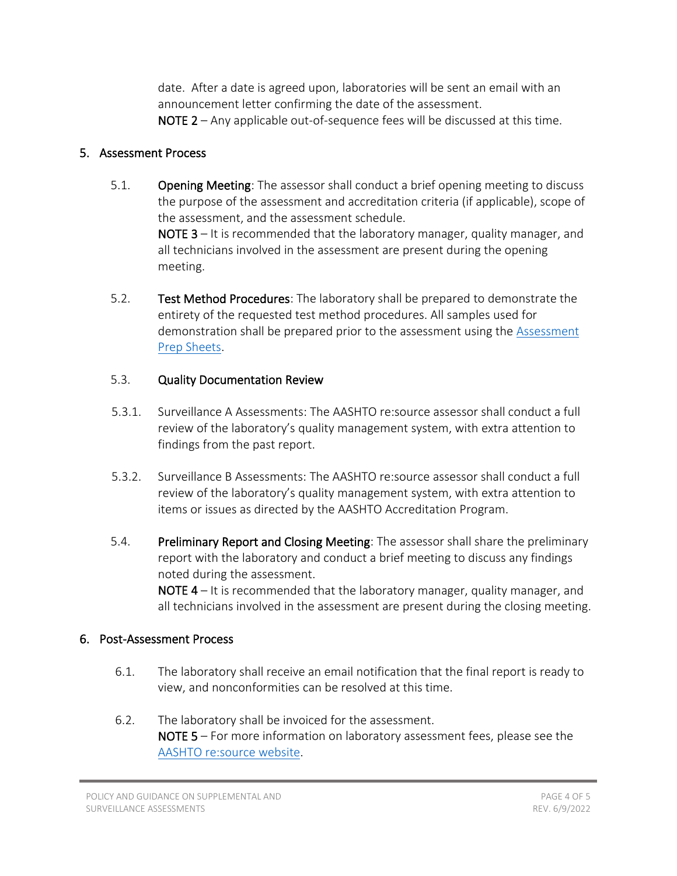date. After a date is agreed upon, laboratories will be sent an email with an announcement letter confirming the date of the assessment. NOTE 2 – Any applicable out-of-sequence fees will be discussed at this time.

#### 5. Assessment Process

- 5.1. **Opening Meeting**: The assessor shall conduct a brief opening meeting to discuss the purpose of the assessment and accreditation criteria (if applicable), scope of the assessment, and the assessment schedule. NOTE 3 – It is recommended that the laboratory manager, quality manager, and all technicians involved in the assessment are present during the opening meeting.
- 5.2. Test Method Procedures: The laboratory shall be prepared to demonstrate the entirety of the requested test method procedures. All samples used for demonstration shall be prepared prior to the assessment using the [Assessment](http://www.aashtoresource.org/university/document-library)  [Prep Sheets.](http://www.aashtoresource.org/university/document-library)

#### 5.3. Quality Documentation Review

- 5.3.1. Surveillance A Assessments: The AASHTO re:source assessor shall conduct a full review of the laboratory's quality management system, with extra attention to findings from the past report.
- 5.3.2. Surveillance B Assessments: The AASHTO re:source assessor shall conduct a full review of the laboratory's quality management system, with extra attention to items or issues as directed by the AASHTO Accreditation Program.
- 5.4. Preliminary Report and Closing Meeting: The assessor shall share the preliminary report with the laboratory and conduct a brief meeting to discuss any findings noted during the assessment.

NOTE 4 – It is recommended that the laboratory manager, quality manager, and all technicians involved in the assessment are present during the closing meeting.

#### 6. Post-Assessment Process

- 6.1. The laboratory shall receive an email notification that the final report is ready to view, and nonconformities can be resolved at this time.
- 6.2. The laboratory shall be invoiced for the assessment. NOTE 5 – For more information on laboratory assessment fees, please see the [AASHTO re:source website.](http://www.aashtoresource.org/lap/tests-and-fees)